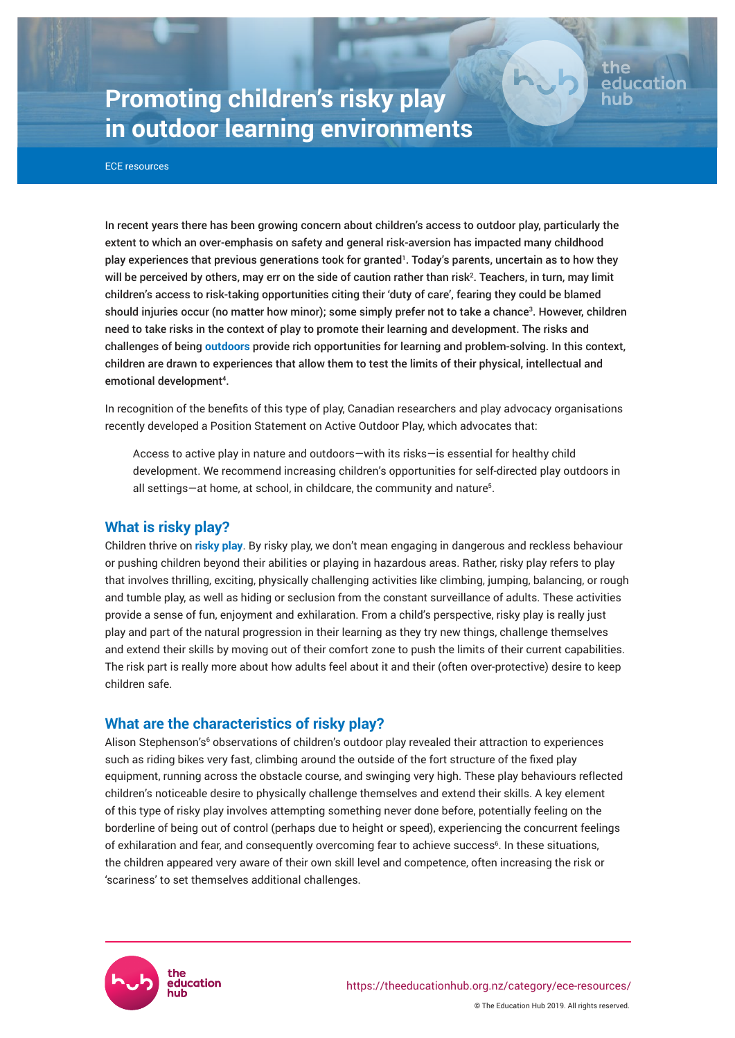# **Promoting children's risky play in outdoor learning environments**

ECE resources

In recent years there has been growing concern about children's access to outdoor play, particularly the extent to which an over-emphasis on safety and general risk-aversion has impacted many childhood play experiences that previous generations took for granted'. Today's parents, uncertain as to how they will be perceived by others, may err on the side of caution rather than risk². Teachers, in turn, may limit children's access to risk-taking opportunities citing their 'duty of care', fearing they could be blamed should injuries occur (no matter how minor); some simply prefer not to take a chance<sup>3</sup>. However, children need to take risks in the context of play to promote their learning and development. The risks and challenges of being **[outdoors](https://theeducationhub.org.nz/outdoor-play-and-why-its-important/)** provide rich opportunities for learning and problem-solving. In this context, children are drawn to experiences that allow them to test the limits of their physical, intellectual and emotional development<sup>4</sup>.

Page 1

educatio

In recognition of the benefits of this type of play, Canadian researchers and play advocacy organisations recently developed a Position Statement on Active Outdoor Play, which advocates that:

Access to active play in nature and outdoors—with its risks—is essential for healthy child development. We recommend increasing children's opportunities for self-directed play outdoors in all settings—at home, at school, in childcare, the community and nature $^{\rm 5}$ .

## **What is risky play?**

Children thrive on **[risky play](https://theeducationhub.org.nz/ece-webinar-the-importance-of-outdoor-play-and-how-to-design-outdoor-spaces-in-ece/)**. By risky play, we don't mean engaging in dangerous and reckless behaviour or pushing children beyond their abilities or playing in hazardous areas. Rather, risky play refers to play that involves thrilling, exciting, physically challenging activities like climbing, jumping, balancing, or rough and tumble play, as well as hiding or seclusion from the constant surveillance of adults. These activities provide a sense of fun, enjoyment and exhilaration. From a child's perspective, risky play is really just play and part of the natural progression in their learning as they try new things, challenge themselves and extend their skills by moving out of their comfort zone to push the limits of their current capabilities. The risk part is really more about how adults feel about it and their (often over-protective) desire to keep children safe.

## **What are the characteristics of risky play?**

Alison Stephenson's<sup>6</sup> observations of children's outdoor play revealed their attraction to experiences such as riding bikes very fast, climbing around the outside of the fort structure of the fixed play equipment, running across the obstacle course, and swinging very high. These play behaviours reflected children's noticeable desire to physically challenge themselves and extend their skills. A key element of this type of risky play involves attempting something never done before, potentially feeling on the borderline of being out of control (perhaps due to height or speed), experiencing the concurrent feelings of exhilaration and fear, and consequently overcoming fear to achieve success<sup>6</sup>. In these situations, the children appeared very aware of their own skill level and competence, often increasing the risk or 'scariness' to set themselves additional challenges.

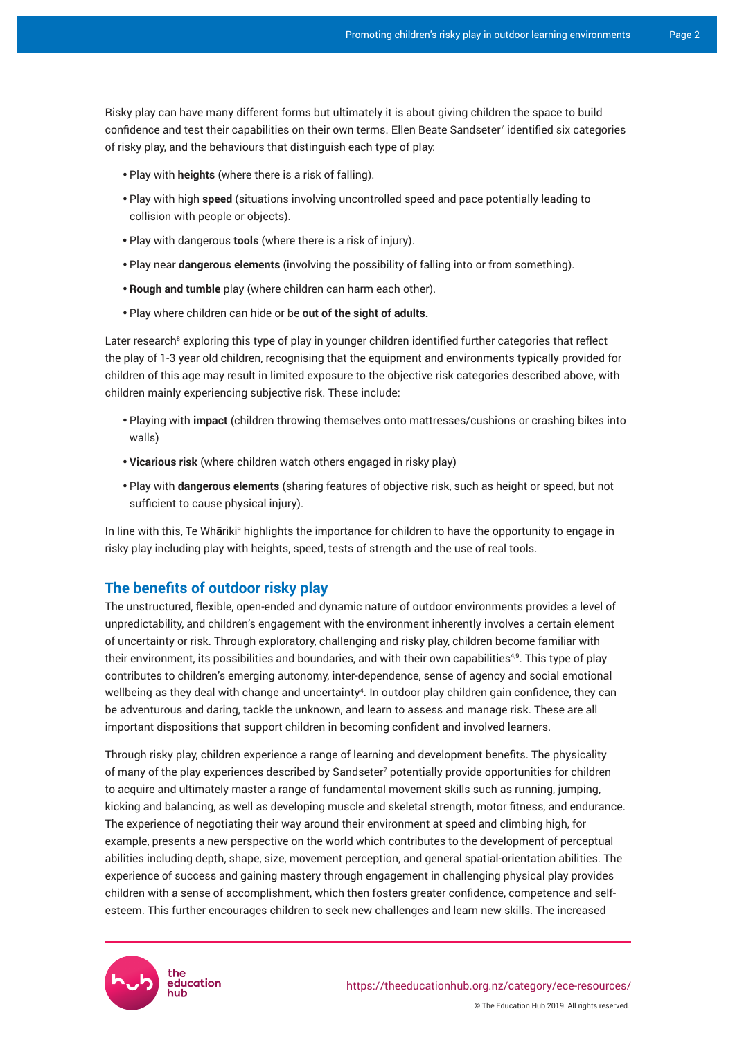Risky play can have many different forms but ultimately it is about giving children the space to build confidence and test their capabilities on their own terms. Ellen Beate Sandseter<sup>7</sup> identified six categories of risky play, and the behaviours that distinguish each type of play:

- Play with **heights** (where there is a risk of falling).
- Play with high speed (situations involving uncontrolled speed and pace potentially leading to collision with people or objects).
- Play with dangerous **tools** (where there is a risk of injury).
- Play near **dangerous elements** (involving the possibility of falling into or from something).
- • **Rough and tumble** play (where children can harm each other).
- Play where children can hide or be out of the sight of adults.

Later research<sup>8</sup> exploring this type of play in younger children identified further categories that reflect the play of 1-3 year old children, recognising that the equipment and environments typically provided for children of this age may result in limited exposure to the objective risk categories described above, with children mainly experiencing subjective risk. These include:

- • Playing with **impact** (children throwing themselves onto mattresses/cushions or crashing bikes into walls)
- Vicarious risk (where children watch others engaged in risky play)
- Play with **dangerous elements** (sharing features of objective risk, such as height or speed, but not sufficient to cause physical injury).

In line with this, Te Wh**ā**riki<sup>9</sup> highlights the importance for children to have the opportunity to engage in risky play including play with heights, speed, tests of strength and the use of real tools.

## **The benefits of outdoor risky play**

The unstructured, flexible, open-ended and dynamic nature of outdoor environments provides a level of unpredictability, and children's engagement with the environment inherently involves a certain element of uncertainty or risk. Through exploratory, challenging and risky play, children become familiar with their environment, its possibilities and boundaries, and with their own capabilities<sup>49</sup>. This type of play contributes to children's emerging autonomy, inter-dependence, sense of agency and social emotional wellbeing as they deal with change and uncertainty<sup>4</sup>. In outdoor play children gain confidence, they can be adventurous and daring, tackle the unknown, and learn to assess and manage risk. These are all important dispositions that support children in becoming confident and involved learners.

Through risky play, children experience a range of learning and development benefits. The physicality of many of the play experiences described by Sandseter<sup>7</sup> potentially provide opportunities for children to acquire and ultimately master a range of fundamental movement skills such as running, jumping, kicking and balancing, as well as developing muscle and skeletal strength, motor fitness, and endurance. The experience of negotiating their way around their environment at speed and climbing high, for example, presents a new perspective on the world which contributes to the development of perceptual abilities including depth, shape, size, movement perception, and general spatial-orientation abilities. The experience of success and gaining mastery through engagement in challenging physical play provides children with a sense of accomplishment, which then fosters greater confidence, competence and selfesteem. This further encourages children to seek new challenges and learn new skills. The increased

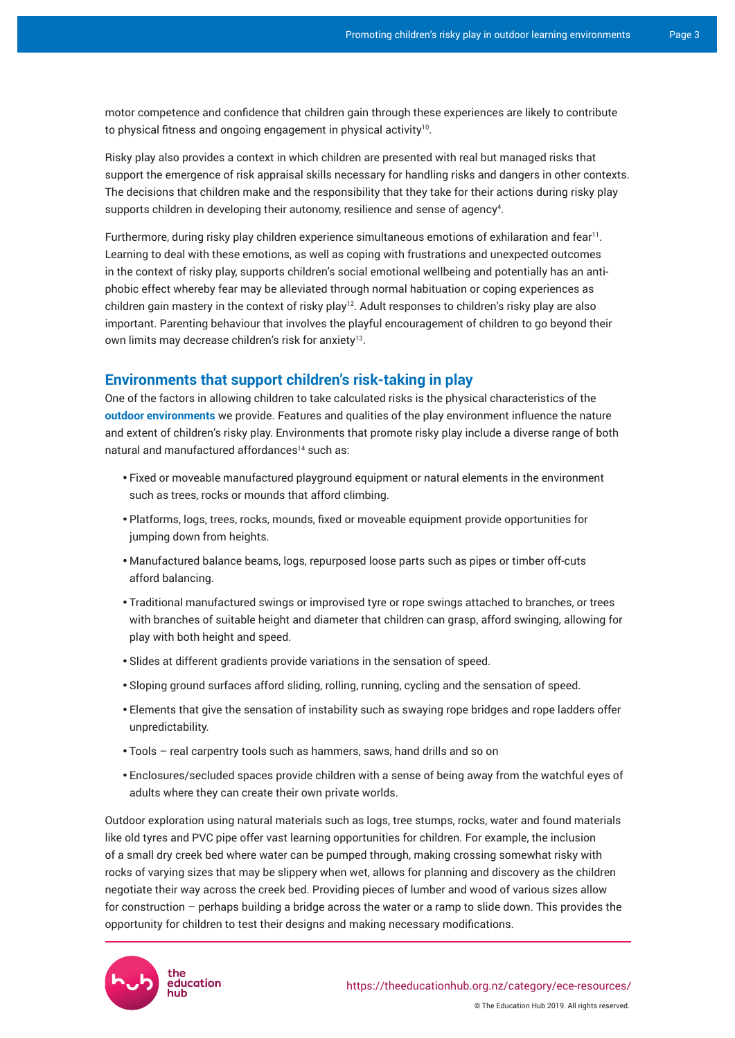motor competence and confidence that children gain through these experiences are likely to contribute to physical fitness and ongoing engagement in physical activity $^{\scriptscriptstyle{10}}$ .

Risky play also provides a context in which children are presented with real but managed risks that support the emergence of risk appraisal skills necessary for handling risks and dangers in other contexts. The decisions that children make and the responsibility that they take for their actions during risky play supports children in developing their autonomy, resilience and sense of agency<sup>4</sup> .

Furthermore, during risky play children experience simultaneous emotions of exhilaration and fear<sup>11</sup> . Learning to deal with these emotions, as well as coping with frustrations and unexpected outcomes in the context of risky play, supports children's social emotional wellbeing and potentially has an antiphobic effect whereby fear may be alleviated through normal habituation or coping experiences as children gain mastery in the context of risky play<sup>12</sup>. Adult responses to children's risky play are also important. Parenting behaviour that involves the playful encouragement of children to go beyond their own limits may decrease children's risk for anxiety<sup>13</sup>.

#### **Environments that support children's risk-taking in play**

One of the factors in allowing children to take calculated risks is the physical characteristics of the **[outdoor environments](https://theeducationhub.org.nz/outdoor-learning-environments-in-ece/)** we provide. Features and qualities of the play environment influence the nature and extent of children's risky play. Environments that promote risky play include a diverse range of both natural and manufactured affordances<sup>14</sup> such as:

- Fixed or moveable manufactured playground equipment or natural elements in the environment such as trees, rocks or mounds that afford climbing.
- Platforms, logs, trees, rocks, mounds, fixed or moveable equipment provide opportunities for jumping down from heights.
- Manufactured balance beams, logs, repurposed loose parts such as pipes or timber off-cuts afford balancing.
- Traditional manufactured swings or improvised tyre or rope swings attached to branches, or trees with branches of suitable height and diameter that children can grasp, afford swinging, allowing for play with both height and speed.
- Slides at different gradients provide variations in the sensation of speed.
- Sloping ground surfaces afford sliding, rolling, running, cycling and the sensation of speed.
- Elements that give the sensation of instability such as swaying rope bridges and rope ladders offer unpredictability.
- Tools real carpentry tools such as hammers, saws, hand drills and so on
- Enclosures/secluded spaces provide children with a sense of being away from the watchful eyes of adults where they can create their own private worlds.

Outdoor exploration using natural materials such as logs, tree stumps, rocks, water and found materials like old tyres and PVC pipe offer vast learning opportunities for children. For example, the inclusion of a small dry creek bed where water can be pumped through, making crossing somewhat risky with rocks of varying sizes that may be slippery when wet, allows for planning and discovery as the children negotiate their way across the creek bed. Providing pieces of lumber and wood of various sizes allow for construction – perhaps building a bridge across the water or a ramp to slide down. This provides the opportunity for children to test their designs and making necessary modifications.

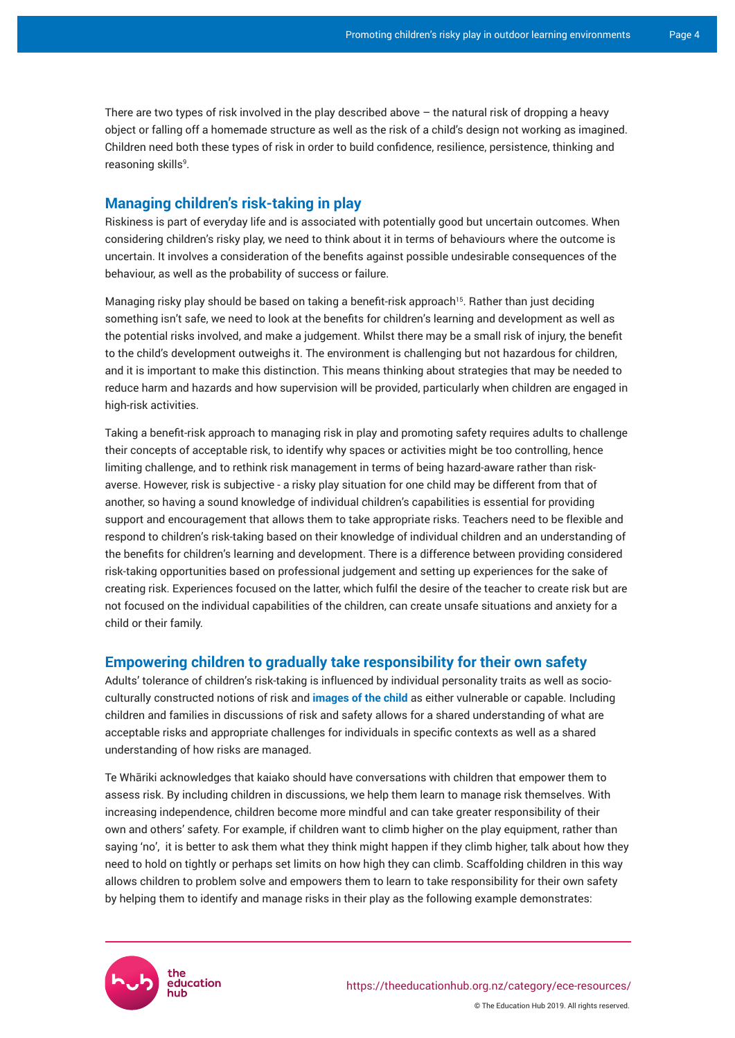There are two types of risk involved in the play described above – the natural risk of dropping a heavy object or falling off a homemade structure as well as the risk of a child's design not working as imagined. Children need both these types of risk in order to build confidence, resilience, persistence, thinking and reasoning skills<sup>9</sup>.

### **Managing children's risk-taking in play**

Riskiness is part of everyday life and is associated with potentially good but uncertain outcomes. When considering children's risky play, we need to think about it in terms of behaviours where the outcome is uncertain. It involves a consideration of the benefits against possible undesirable consequences of the behaviour, as well as the probability of success or failure.

Managing risky play should be based on taking a benefit-risk approach<sup>15</sup>. Rather than just deciding something isn't safe, we need to look at the benefits for children's learning and development as well as the potential risks involved, and make a judgement. Whilst there may be a small risk of injury, the benefit to the child's development outweighs it. The environment is challenging but not hazardous for children, and it is important to make this distinction. This means thinking about strategies that may be needed to reduce harm and hazards and how supervision will be provided, particularly when children are engaged in high-risk activities.

Taking a benefit-risk approach to managing risk in play and promoting safety requires adults to challenge their concepts of acceptable risk, to identify why spaces or activities might be too controlling, hence limiting challenge, and to rethink risk management in terms of being hazard-aware rather than riskaverse. However, risk is subjective - a risky play situation for one child may be different from that of another, so having a sound knowledge of individual children's capabilities is essential for providing support and encouragement that allows them to take appropriate risks. Teachers need to be flexible and respond to children's risk-taking based on their knowledge of individual children and an understanding of the benefits for children's learning and development. There is a difference between providing considered risk-taking opportunities based on professional judgement and setting up experiences for the sake of creating risk. Experiences focused on the latter, which fulfil the desire of the teacher to create risk but are not focused on the individual capabilities of the children, can create unsafe situations and anxiety for a child or their family.

#### **Empowering children to gradually take responsibility for their own safety**

Adults' tolerance of children's risk-taking is influenced by individual personality traits as well as socioculturally constructed notions of risk and **[images of the child](https://theeducationhub.org.nz/the-image-of-the-child/)** as either vulnerable or capable. Including children and families in discussions of risk and safety allows for a shared understanding of what are acceptable risks and appropriate challenges for individuals in specific contexts as well as a shared understanding of how risks are managed.

Te Whāriki acknowledges that kaiako should have conversations with children that empower them to assess risk. By including children in discussions, we help them learn to manage risk themselves. With increasing independence, children become more mindful and can take greater responsibility of their own and others' safety. For example, if children want to climb higher on the play equipment, rather than saying 'no', it is better to ask them what they think might happen if they climb higher, talk about how they need to hold on tightly or perhaps set limits on how high they can climb. Scaffolding children in this way allows children to problem solve and empowers them to learn to take responsibility for their own safety by helping them to identify and manage risks in their play as the following example demonstrates:

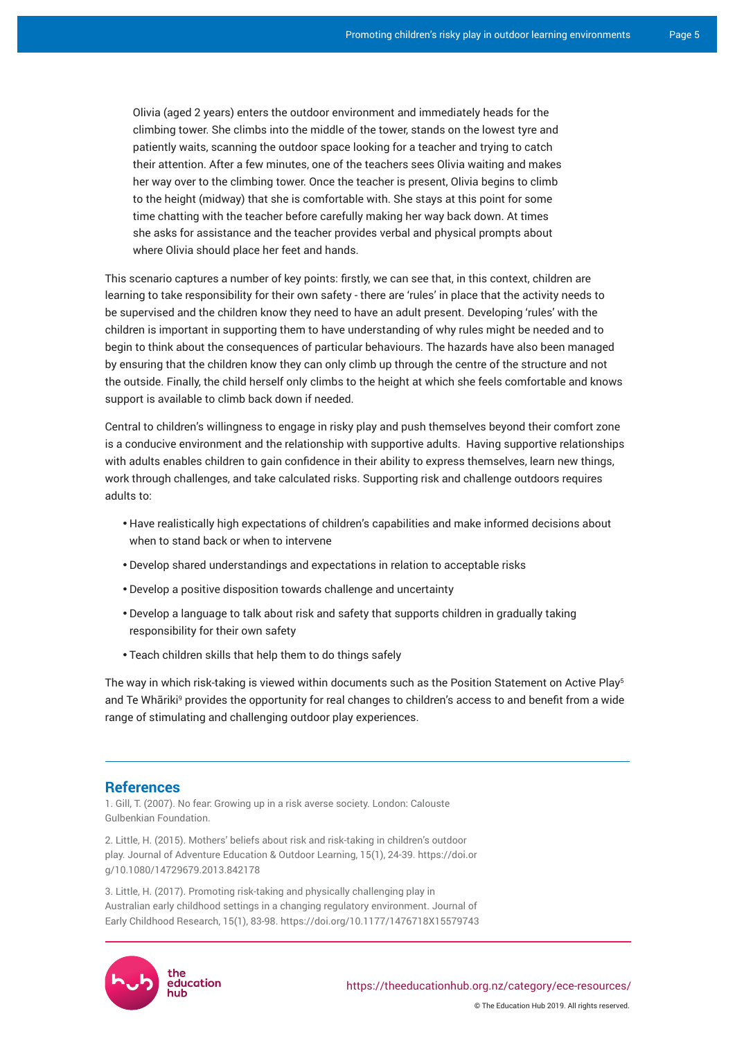Olivia (aged 2 years) enters the outdoor environment and immediately heads for the climbing tower. She climbs into the middle of the tower, stands on the lowest tyre and patiently waits, scanning the outdoor space looking for a teacher and trying to catch their attention. After a few minutes, one of the teachers sees Olivia waiting and makes her way over to the climbing tower. Once the teacher is present, Olivia begins to climb to the height (midway) that she is comfortable with. She stays at this point for some time chatting with the teacher before carefully making her way back down. At times she asks for assistance and the teacher provides verbal and physical prompts about where Olivia should place her feet and hands.

This scenario captures a number of key points: firstly, we can see that, in this context, children are learning to take responsibility for their own safety - there are 'rules' in place that the activity needs to be supervised and the children know they need to have an adult present. Developing 'rules' with the children is important in supporting them to have understanding of why rules might be needed and to begin to think about the consequences of particular behaviours. The hazards have also been managed by ensuring that the children know they can only climb up through the centre of the structure and not the outside. Finally, the child herself only climbs to the height at which she feels comfortable and knows support is available to climb back down if needed.

Central to children's willingness to engage in risky play and push themselves beyond their comfort zone is a conducive environment and the relationship with supportive adults. Having supportive relationships with adults enables children to gain confidence in their ability to express themselves, learn new things, work through challenges, and take calculated risks. Supporting risk and challenge outdoors requires adults to:

- Have realistically high expectations of children's capabilities and make informed decisions about when to stand back or when to intervene
- Develop shared understandings and expectations in relation to acceptable risks
- Develop a positive disposition towards challenge and uncertainty
- Develop a language to talk about risk and safety that supports children in gradually taking responsibility for their own safety
- Teach children skills that help them to do things safely

The way in which risk-taking is viewed within documents such as the Position Statement on Active Play<sup>s</sup> and Te Whāriki<sup>9</sup> provides the opportunity for real changes to children's access to and benefit from a wide range of stimulating and challenging outdoor play experiences.

#### **References**

1. Gill, T. (2007). No fear: Growing up in a risk averse society. London: Calouste Gulbenkian Foundation.

2. Little, H. (2015). Mothers' beliefs about risk and risk-taking in children's outdoor play. Journal of Adventure Education & Outdoor Learning, 15(1), 24-39. https://doi.or g/10.1080/14729679.2013.842178

3. Little, H. (2017). Promoting risk-taking and physically challenging play in Australian early childhood settings in a changing regulatory environment. Journal of Early Childhood Research, 15(1), 83-98. https://doi.org/10.1177/1476718X15579743



© The Education Hub 2019. All rights reserved.